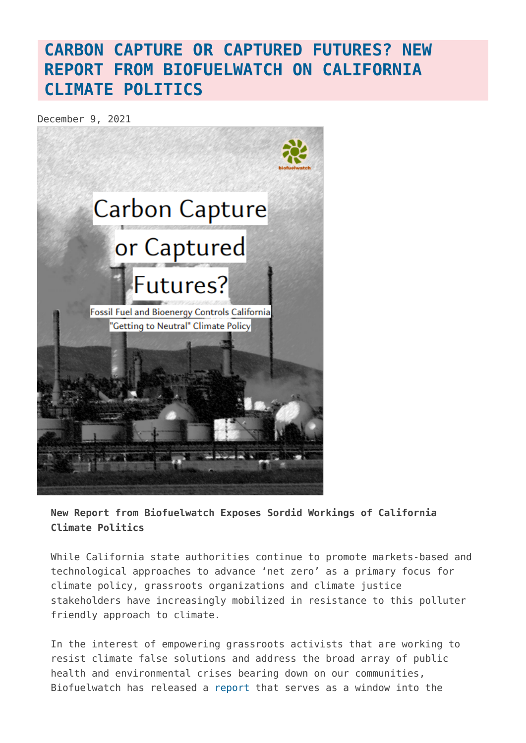## **[CARBON CAPTURE OR CAPTURED FUTURES? NEW](https://www.geoengineeringmonitor.org/2021/12/carbon-capture-or-captured-futures-new-report-from-biofuelwatch-on-california-climate-politics/) [REPORT FROM BIOFUELWATCH ON CALIFORNIA](https://www.geoengineeringmonitor.org/2021/12/carbon-capture-or-captured-futures-new-report-from-biofuelwatch-on-california-climate-politics/) [CLIMATE POLITICS](https://www.geoengineeringmonitor.org/2021/12/carbon-capture-or-captured-futures-new-report-from-biofuelwatch-on-california-climate-politics/)**

December 9, 2021



**New Report from Biofuelwatch Exposes Sordid Workings of California Climate Politics**

While California state authorities continue to promote markets-based and technological approaches to advance 'net zero' as a primary focus for climate policy, grassroots organizations and climate justice stakeholders have increasingly mobilized in resistance to this polluter friendly approach to climate.

In the interest of empowering grassroots activists that are working to resist climate false solutions and address the broad array of public health and environmental crises bearing down on our communities, Biofuelwatch has released a [report](https://www.biofuelwatch.org.uk/wp-content/uploads/FINAL_capturedfutures_Biofuelwatch.pdf) that serves as a window into the